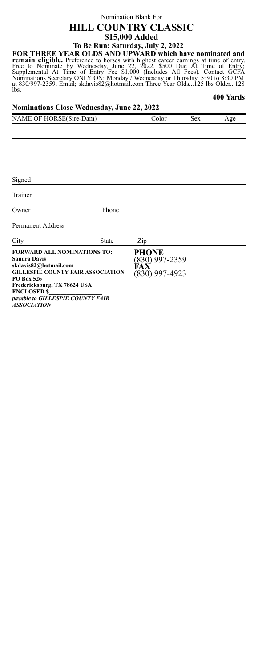# Nomination Blank For **HILL COUNTRY CLASSIC \$15,000 Added To Be Run: Saturday, July 2, 2022**

**FOR THREE YEAR OLDS AND UPWARD which have nominated and remain eligible.** Preference to horses with highest career earnings at time of entry.<br>Free to Nominate by Wednesday, June 22, 2022. \$500 Due At Time of Entry;<br>Supplemental At Time of Entry Fee \$1,000 (Includes All Fees). lbs. **400 Yards**

| <b>Nominations Close Wednesday, June 22, 2022</b>                                                                                     |              |                                                        |            |     |  |  |
|---------------------------------------------------------------------------------------------------------------------------------------|--------------|--------------------------------------------------------|------------|-----|--|--|
| NAME OF HORSE(Sire-Dam)                                                                                                               |              | Color                                                  | <b>Sex</b> | Age |  |  |
|                                                                                                                                       |              |                                                        |            |     |  |  |
|                                                                                                                                       |              |                                                        |            |     |  |  |
|                                                                                                                                       |              |                                                        |            |     |  |  |
|                                                                                                                                       |              |                                                        |            |     |  |  |
|                                                                                                                                       |              |                                                        |            |     |  |  |
| Signed                                                                                                                                |              |                                                        |            |     |  |  |
| Trainer                                                                                                                               |              |                                                        |            |     |  |  |
| Owner                                                                                                                                 | Phone        |                                                        |            |     |  |  |
| Permanent Address                                                                                                                     |              |                                                        |            |     |  |  |
| City                                                                                                                                  | <b>State</b> | Zip                                                    |            |     |  |  |
| <b>FORWARD ALL NOMINATIONS TO:</b><br>Sandra Davis<br>skdavis82@hotmail.com<br><b>GILLESPIE COUNTY FAIR ASSOCIATION</b><br>PO Box 526 |              | PHONE<br>830) 997-2359<br>FAX<br><u>(830) 997-4923</u> |            |     |  |  |
| Fredericksburg, TX 78624 USA<br><b>ENCLOSED \$</b>                                                                                    |              |                                                        |            |     |  |  |
| payable to GILLESPIE COUNTY FAIR<br><b>ASSOCIATION</b>                                                                                |              |                                                        |            |     |  |  |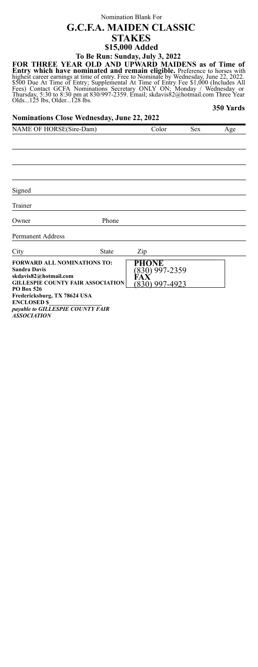## Nomination Blank For **G.C.F.A. MAIDEN CLASSIC STAKES \$15,000 Added To Be Run: Sunday, July 3, 2022**

FOR THREE YEAR OLD AND UPWARD MAIDENS as of Time of<br>Entry which have nominated and remain eligible. Preference to horses with<br>highest career earnings at time of entry. Free to Nominate by Wednesday, June 22, 2022,<br>\$500 Due **350 Yards**

| <b>Nominations Close Wednesday, June 22, 2022</b>                                                                                                                                                                |                                          |                                               |            |     |  |  |
|------------------------------------------------------------------------------------------------------------------------------------------------------------------------------------------------------------------|------------------------------------------|-----------------------------------------------|------------|-----|--|--|
| NAME OF HORSE(Sire-Dam)                                                                                                                                                                                          |                                          | Color                                         | <b>Sex</b> | Age |  |  |
|                                                                                                                                                                                                                  |                                          |                                               |            |     |  |  |
|                                                                                                                                                                                                                  |                                          |                                               |            |     |  |  |
|                                                                                                                                                                                                                  |                                          |                                               |            |     |  |  |
|                                                                                                                                                                                                                  |                                          |                                               |            |     |  |  |
| Signed                                                                                                                                                                                                           |                                          |                                               |            |     |  |  |
| Trainer                                                                                                                                                                                                          |                                          |                                               |            |     |  |  |
| Owner                                                                                                                                                                                                            | Phone                                    |                                               |            |     |  |  |
| Permanent Address                                                                                                                                                                                                |                                          |                                               |            |     |  |  |
| City                                                                                                                                                                                                             | State                                    | Zip                                           |            |     |  |  |
| <b>FORWARD ALL NOMINATIONS TO:</b><br><b>Sandra Davis</b><br>skdavis82@hotmail.com<br>PO Box 526<br>Fredericksburg, TX 78624 USA<br><b>ENCLOSED \$</b><br>payable to GILLESPIE COUNTY FAIR<br><b>ASSOCIATION</b> | <b>GILLESPIE COUNTY FAIR ASSOCIATION</b> | PHONE<br>830) 997-2359<br>FА<br>830) 997-4923 |            |     |  |  |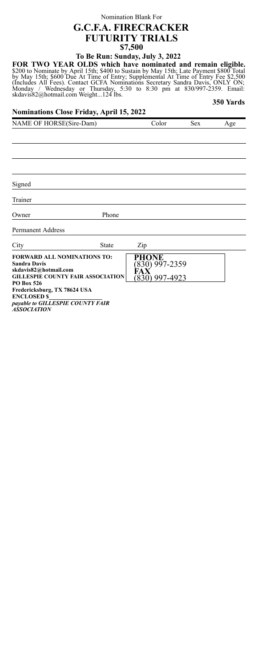# Nomination Blank For **G.C.F.A. FIRECRACKER FUTURITY TRIALS \$7,500**

**To Be Run: Sunday, July 3, 2022**

FOR TWO YEAR OLDS which have nominated and remain eligible.<br>\$200 to Nominate by April 15th; \$400 to Sustain by May 15th; Late Payment \$800 Total<br>by May 15th; \$600 Due At Time of Entry; Supplemental At Time of Entry Fee \$2,

### **350 Yards**

## **Nominations Close Friday, April 15, 2022**

| NAME OF HORSE(Sire-Dam)                                                            |                                          | Color                  | <b>Sex</b> | Age |
|------------------------------------------------------------------------------------|------------------------------------------|------------------------|------------|-----|
|                                                                                    |                                          |                        |            |     |
|                                                                                    |                                          |                        |            |     |
|                                                                                    |                                          |                        |            |     |
|                                                                                    |                                          |                        |            |     |
|                                                                                    |                                          |                        |            |     |
| Signed                                                                             |                                          |                        |            |     |
| Trainer                                                                            |                                          |                        |            |     |
| Owner                                                                              | Phone                                    |                        |            |     |
| <b>Permanent Address</b>                                                           |                                          |                        |            |     |
| City                                                                               | <b>State</b>                             | Zip                    |            |     |
| <b>FORWARD ALL NOMINATIONS TO:</b><br><b>Sandra Davis</b><br>skdavis82@hotmail.com |                                          | PHONE<br>830) 997-2359 |            |     |
|                                                                                    | <b>GILLESPIE COUNTY FAIR ASSOCIATION</b> | 830) 997-4923          |            |     |
| <b>PO Box 526</b><br>Fredericksburg, TX 78624 USA                                  |                                          |                        |            |     |
| <b>ENCLOSED \$</b>                                                                 |                                          |                        |            |     |
| payable to GILLESPIE COUNTY FAIR<br><b>ASSOCIATION</b>                             |                                          |                        |            |     |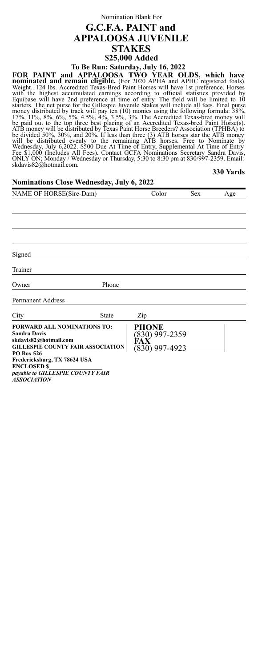## Nomination Blank For **G.C.F.A. PAINT and APPALOOSA JUVENILE STAKES \$25,000 Added To Be Run: Saturday, July 16, 2022**

FOR PAINT and APPALOOSA TWO YEAR OLDS, which have<br>nominated and remain eligible. (For 2020 APHA and APPIC registered foals).<br>Weight...124 lbs. Accredited Texas-Bred Paint Horses will have 1st preference foals).<br>With the hi

#### **330 Yards**

## **Nominations Close Wednesday, July 6, 2022**

| NAME OF HORSE(Sire-Dam) | `olor | Sex | Age |
|-------------------------|-------|-----|-----|
|                         |       |     |     |

Signed

Trainer

Owner Phone

Permanent Address

| City                                                                                                                                                | State | Zip                                   |  |
|-----------------------------------------------------------------------------------------------------------------------------------------------------|-------|---------------------------------------|--|
| <b>FORWARD ALL NOMINATIONS TO:</b><br><b>Sandra Davis</b><br>skdavis82@hotmail.com<br><b>GILLESPIE COUNTY FAIR ASSOCIATION</b><br><b>PO Box 526</b> |       | )NE<br>30) 997-2359<br>(830) 997-4923 |  |
| Fredericksburg, TX 78624 USA<br><b>ENCLOSED \$</b><br>payable to GILLESPIE COUNTY FAIR<br><b>ASSOCIATION</b>                                        |       |                                       |  |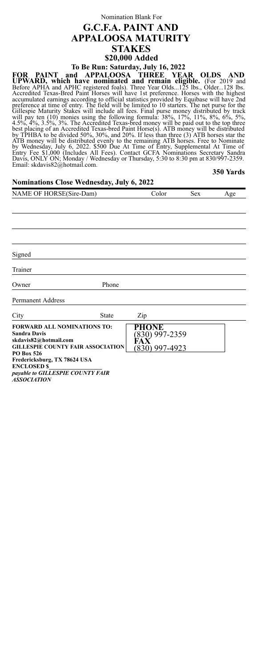# Nomination Blank For **G.C.F.A. PAINT AND APPALOOSA MATURITY STAKES \$20,000 Added To Be Run: Saturday, July 16, 2022**

FOR PAINT and APPALOOSA THREE YEAR OLDS AND<br>UPWARD, which have nominated and remain eligible. (For 2019 and<br>Before APHA and APHC registered foals). Three Year Olds...125 lbs, Older...128 lbs.<br>Accredited Texas-Bred Paint Ho

#### **350 Yards**

## **Nominations Close Wednesday, July 6, 2022**

| Color | Sex | Age |
|-------|-----|-----|
|       |     |     |
|       |     |     |
|       |     |     |
|       |     |     |
|       |     |     |
|       |     |     |
|       |     |     |

Owner Phone

Permanent Address

| City                                                                                                                                                | <b>State</b> | Zip                                      |  |
|-----------------------------------------------------------------------------------------------------------------------------------------------------|--------------|------------------------------------------|--|
| <b>FORWARD ALL NOMINATIONS TO:</b><br><b>Sandra Davis</b><br>skdavis82@hotmail.com<br><b>GILLESPIE COUNTY FAIR ASSOCIATION</b><br><b>PO Box 526</b> |              | PHONE<br>830) 997-2359<br>(830) 997-4923 |  |
| Fredericksburg, TX 78624 USA<br><b>ENCLOSED \$</b><br>payable to GILLESPIE COUNTY FAIR<br><i><b>ASSOCIATION</b></i>                                 |              |                                          |  |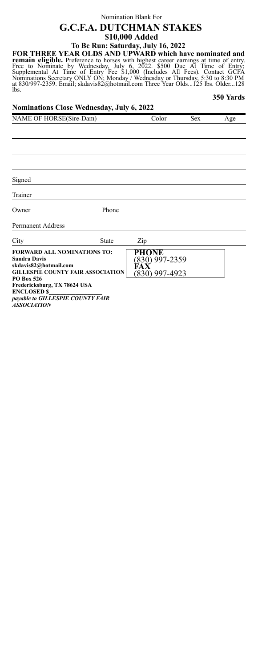## Nomination Blank For **G.C.F.A. DUTCHMAN STAKES \$10,000 Added To Be Run: Saturday, July 16, 2022**

FOR THREE YEAR OLDS AND UPWARD which have nominated and<br>remain eligible. Preference to horses with highest career earnings at time of entry.<br>Free to Nominate by Wednesday, July 6, 2022. \$500 Due At Time of Entry;<br>Supplemen lbs. **350 Yards**

| Nominations Close Wednesday, July 6, 2022                                                                                                                                                   |              |                                                  |            |     |  |  |
|---------------------------------------------------------------------------------------------------------------------------------------------------------------------------------------------|--------------|--------------------------------------------------|------------|-----|--|--|
| NAME OF HORSE(Sire-Dam)                                                                                                                                                                     |              | Color                                            | <b>Sex</b> | Age |  |  |
|                                                                                                                                                                                             |              |                                                  |            |     |  |  |
|                                                                                                                                                                                             |              |                                                  |            |     |  |  |
|                                                                                                                                                                                             |              |                                                  |            |     |  |  |
|                                                                                                                                                                                             |              |                                                  |            |     |  |  |
| Signed                                                                                                                                                                                      |              |                                                  |            |     |  |  |
| Trainer                                                                                                                                                                                     |              |                                                  |            |     |  |  |
| Owner                                                                                                                                                                                       | Phone        |                                                  |            |     |  |  |
| Permanent Address                                                                                                                                                                           |              |                                                  |            |     |  |  |
| City                                                                                                                                                                                        | <b>State</b> | Zip                                              |            |     |  |  |
| <b>FORWARD ALL NOMINATIONS TO:</b><br>Sandra Davis<br>skdavis82@hotmail.com<br><b>GILLESPIE COUNTY FAIR ASSOCIATION</b><br>PO Box 526<br>Fredericksburg, TX 78624 USA<br><b>ENCLOSED \$</b> |              | PHONE<br>(830) 997-2359<br>FAX<br>(830) 997-4923 |            |     |  |  |
| payable to GILLESPIE COUNTY FAIR<br>10000110101                                                                                                                                             |              |                                                  |            |     |  |  |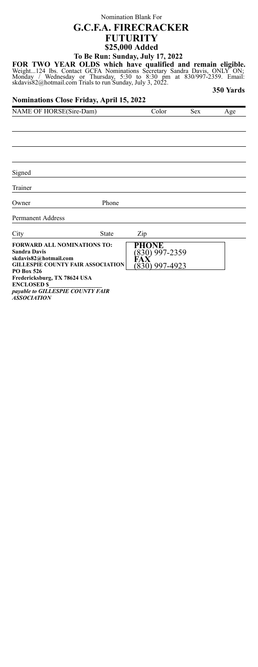# Nomination Blank For **G.C.F.A. FIRECRACKER FUTURITY \$25,000 Added To Be Run: Sunday, July 17, 2022**

FOR TWO YEAR OLDS which have qualified and remain eligible.<br>Weight...124 lbs. Contact GCFA Nominations Secretary Sandra Davis, ONLY ON;<br>Monday / Wednesday or Thursday, 5:30 to 8:30 pm at 830/997-2359. Email:<br>skdavis82@hotm **350 Yards**

#### **Nominations Close Friday, April 15, 2022**

| NAME OF HORSE(Sire-Dam) | olor | sex | Age |
|-------------------------|------|-----|-----|
|                         |      |     |     |

Signed

Trainer

Owner Phone

Permanent Address

City State Zip

| UILY<br>oiaic                                                                                                                  | ∠w                     |
|--------------------------------------------------------------------------------------------------------------------------------|------------------------|
| <b>FORWARD ALL NOMINATIONS TO:</b><br><b>Sandra Davis</b><br>skdavis82@hotmail.com<br><b>GILLESPIE COUNTY FAIR ASSOCIATION</b> | PHONE<br>830) 997-2359 |
| <b>PO Box 526</b><br>Fredericksburg, TX 78624 USA                                                                              | .1) 997-4923           |
| <b>ENCLOSED \$</b><br>payable to GILLESPIE COUNTY FAIR<br>10000117101                                                          |                        |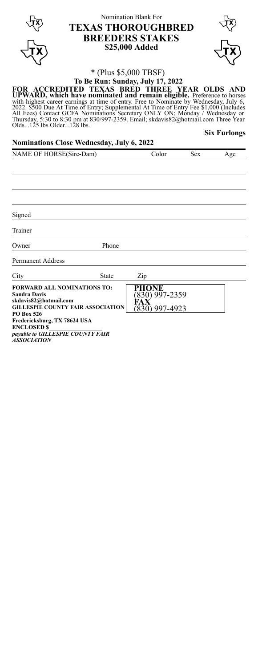|                                                                                            | <b>TEXAS THOROUGHBRED</b>                                                                                                                                                                                                                                                                                                                                                                                                                                  | Nomination Blank For<br><b>BREEDERS STAKES</b><br>\$25,000 Added |     |                     |
|--------------------------------------------------------------------------------------------|------------------------------------------------------------------------------------------------------------------------------------------------------------------------------------------------------------------------------------------------------------------------------------------------------------------------------------------------------------------------------------------------------------------------------------------------------------|------------------------------------------------------------------|-----|---------------------|
|                                                                                            |                                                                                                                                                                                                                                                                                                                                                                                                                                                            |                                                                  |     |                     |
|                                                                                            | * (Plus \$5,000 TBSF)                                                                                                                                                                                                                                                                                                                                                                                                                                      |                                                                  |     |                     |
|                                                                                            | To Be Run: Sunday, July 17, 2022<br>FOR ACCREDITED TEXAS BRED THREE YEAR OLDS AND                                                                                                                                                                                                                                                                                                                                                                          |                                                                  |     |                     |
|                                                                                            | UPWARD, which have nominated and remain eligible. Preference to horses<br>with highest career earnings at time of entry. Free to Nominate by Wednesday, July 6,<br>2022. \$500 Due At Time of Entry; Supplemental At Time of Entry Fee \$1,000 (Includes<br>All Fees) Contact GCFA Nominations Secretary ONLY ON; Monday / Wednesday or<br>Thursday, 5:30 to 8:30 pm at 830/997-2359. Email, skdavis82@hotmail.com Three Year<br>Olds125 lbs Older128 lbs. |                                                                  |     |                     |
|                                                                                            |                                                                                                                                                                                                                                                                                                                                                                                                                                                            |                                                                  |     | <b>Six Furlongs</b> |
|                                                                                            | Nominations Close Wednesday, July 6, 2022                                                                                                                                                                                                                                                                                                                                                                                                                  |                                                                  |     |                     |
| NAME OF HORSE(Sire-Dam)                                                                    |                                                                                                                                                                                                                                                                                                                                                                                                                                                            | Color                                                            | Sex | Age                 |
| Signed                                                                                     |                                                                                                                                                                                                                                                                                                                                                                                                                                                            |                                                                  |     |                     |
| Trainer                                                                                    |                                                                                                                                                                                                                                                                                                                                                                                                                                                            |                                                                  |     |                     |
| Owner                                                                                      | Phone                                                                                                                                                                                                                                                                                                                                                                                                                                                      |                                                                  |     |                     |
| Permanent Address                                                                          |                                                                                                                                                                                                                                                                                                                                                                                                                                                            |                                                                  |     |                     |
| City                                                                                       | State                                                                                                                                                                                                                                                                                                                                                                                                                                                      | Zip                                                              |     |                     |
| Sandra Davis<br>skdavis82@hotmail.com<br><b>PO Box 526</b><br>Fredericksburg, TX 78624 USA | <b>FORWARD ALL NOMINATIONS TO:</b><br><b>GILLESPIE COUNTY FAIR ASSOCIATION</b>                                                                                                                                                                                                                                                                                                                                                                             | PHONE<br>(830) 997-2359<br>FAX<br>(830) 997-4923                 |     |                     |

**Fredericksburg, TX 78624 USA ENCLOSED \$\_\_\_\_\_\_\_\_\_\_\_\_\_\_\_\_\_\_** *payable to GILLESPIE COUNTY FAIR ASSOCIATION*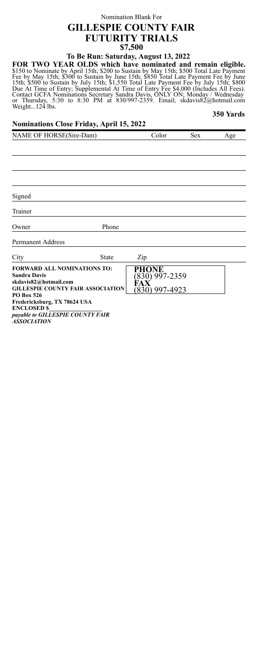# Nomination Blank For **GILLESPIE COUNTY FAIR FUTURITY TRIALS \$7,500**

**To Be Run: Saturday, August 13, 2022**

FOR TWO YEAR OLDS which have nominated and remain eligible.<br>S150 to Nominate by April 15th; \$200 to Sustain by May 15th; \$500 Total Late Payment<br>Fee by May 15th; \$300 to Sustain by June 15th; \$850 Total Late Payment Fee by or Thursday, 5:<br>Weight...124 lbs. **350 Yards**

## **Nominations Close Friday, April 15, 2022**

| NAME OF HORSE(Sire-Dam)                                                                                                        |              | Color                                                     | <b>Sex</b> | Age |
|--------------------------------------------------------------------------------------------------------------------------------|--------------|-----------------------------------------------------------|------------|-----|
|                                                                                                                                |              |                                                           |            |     |
|                                                                                                                                |              |                                                           |            |     |
|                                                                                                                                |              |                                                           |            |     |
|                                                                                                                                |              |                                                           |            |     |
|                                                                                                                                |              |                                                           |            |     |
| Signed                                                                                                                         |              |                                                           |            |     |
| Trainer                                                                                                                        |              |                                                           |            |     |
| Owner                                                                                                                          | Phone        |                                                           |            |     |
| <b>Permanent Address</b>                                                                                                       |              |                                                           |            |     |
| City                                                                                                                           | <b>State</b> | Zip                                                       |            |     |
| <b>FORWARD ALL NOMINATIONS TO:</b><br><b>Sandra Davis</b><br>skdavis82@hotmail.com<br><b>GILLESPIE COUNTY FAIR ASSOCIATION</b> |              | <b>PHONE</b><br>$(830)$ 997-2359<br>FAX<br>(830) 997-4923 |            |     |
| PO Box 526<br>Fredericksburg, TX 78624 USA                                                                                     |              |                                                           |            |     |

**ENCLOSED \$\_\_\_\_\_\_\_\_\_\_\_\_\_\_\_\_\_\_** *payable to GILLESPIE COUNTY FAIR ASSOCIATION*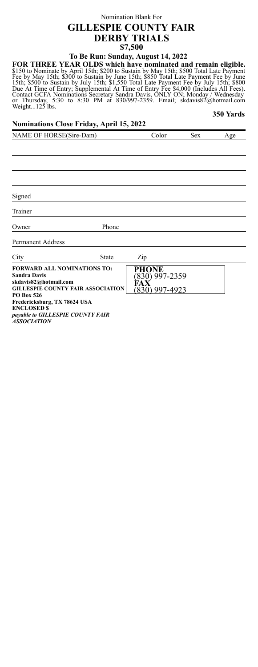# Nomination Blank For **GILLESPIE COUNTY FAIR DERBY TRIALS \$7,500**

**To Be Run: Sunday, August 14, 2022**

FOR THREE YEAR OLDS which have nominated and remain eligible.<br>S150 to Nominate by April 15th; \$200 to Sustain by May 15th; \$500 Total Late Payment<br>Fee by May 15th; \$300 to Sustain by June 15th; \$850 Total Late Payment Fee or Thursday, 5:<br>Weight...125 lbs. **350 Yards**

### **Nominations Close Friday, April 15, 2022**

| NAME OF HORSE(Sire-Dam)                                                                                                                 |                                          | Color                                     | <b>Sex</b> | Age |
|-----------------------------------------------------------------------------------------------------------------------------------------|------------------------------------------|-------------------------------------------|------------|-----|
|                                                                                                                                         |                                          |                                           |            |     |
|                                                                                                                                         |                                          |                                           |            |     |
|                                                                                                                                         |                                          |                                           |            |     |
|                                                                                                                                         |                                          |                                           |            |     |
|                                                                                                                                         |                                          |                                           |            |     |
| Signed                                                                                                                                  |                                          |                                           |            |     |
| Trainer                                                                                                                                 |                                          |                                           |            |     |
| Owner                                                                                                                                   | Phone                                    |                                           |            |     |
| <b>Permanent Address</b>                                                                                                                |                                          |                                           |            |     |
| City                                                                                                                                    | State                                    | Zip                                       |            |     |
| <b>FORWARD ALL NOMINATIONS TO:</b><br><b>Sandra Davis</b><br>skdavis82@hotmail.com<br><b>PO Box 526</b><br>Fredericksburg, TX 78624 USA | <b>GILLESPIE COUNTY FAIR ASSOCIATION</b> | PHONE<br>(830) 997-2359<br>(830) 997-4923 |            |     |

**ENCLOSED \$\_\_\_\_\_\_\_\_\_\_\_\_\_\_\_\_\_\_** *payable to GILLESPIE COUNTY FAIR ASSOCIATION*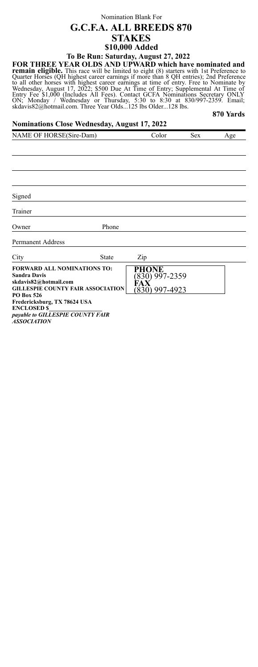## Nomination Blank For **G.C.F.A. ALL BREEDS 870 STAKES \$10,000 Added To Be Run: Saturday, August 27, 2022**

FOR THREE YEAR OLDS AND UPWARD which have nominated and<br>remain eligible. This race will be limited to eight (8) starters with 1st Preference to<br>Quarter Horses (QH highest career earnings if more than 8 QH entries); 2nd Pre **870 Yards**

## **Nominations Close Wednesday, August 17, 2022**

| NAME OF HORSE(Sire-Dam)                                                                                          |              | Color                                              | <b>Sex</b> | Age |
|------------------------------------------------------------------------------------------------------------------|--------------|----------------------------------------------------|------------|-----|
|                                                                                                                  |              |                                                    |            |     |
|                                                                                                                  |              |                                                    |            |     |
|                                                                                                                  |              |                                                    |            |     |
|                                                                                                                  |              |                                                    |            |     |
|                                                                                                                  |              |                                                    |            |     |
| Signed                                                                                                           |              |                                                    |            |     |
|                                                                                                                  |              |                                                    |            |     |
| Trainer                                                                                                          |              |                                                    |            |     |
| Owner                                                                                                            | Phone        |                                                    |            |     |
| <b>Permanent Address</b>                                                                                         |              |                                                    |            |     |
| City                                                                                                             | <b>State</b> | Zip                                                |            |     |
| FORWARD ALL NOMINATIONS TO:<br>Sandra Davis<br>skdavis82@hotmail.com<br><b>GILLESPIE COUNTY FAIR ASSOCIATION</b> |              | PHONE<br>$(830)$ 997-2359<br>FAX<br>(830) 997-4923 |            |     |
| PO Box 526<br>Fredericksburg, TX 78624 USA                                                                       |              |                                                    |            |     |

**ENCLOSED \$\_\_\_\_\_\_\_\_\_\_\_\_\_\_\_\_\_\_** *payable to GILLESPIE COUNTY FAIR ASSOCIATION*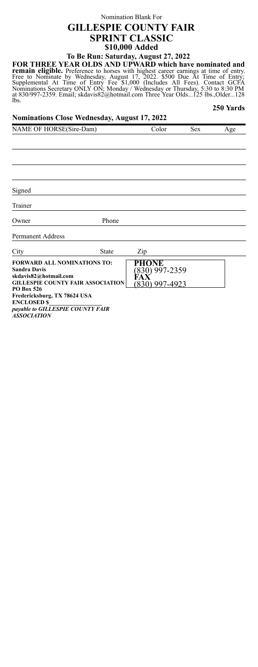## Nomination Blank For **GILLESPIE COUNTY FAIR SPRINT CLASSIC \$10,000 Added To Be Run: Saturday, August 27, 2022**

FOR THREE YEAR OLDS AND UPWARD which have nominated and<br>remain eligible. Preference to horses with highest career earnings at time of entry.<br>Free to Nominate by Wednesday, August 17, 2022. \$500 Due At Time of Entry;<br>Supple lbs. **250 Yards**

| <b>Nominations Close Wednesday, August 17, 2022</b>                                                                                                                                                                                                          |       |                                         |            |     |
|--------------------------------------------------------------------------------------------------------------------------------------------------------------------------------------------------------------------------------------------------------------|-------|-----------------------------------------|------------|-----|
| NAME OF HORSE(Sire-Dam)                                                                                                                                                                                                                                      |       | Color                                   | <b>Sex</b> | Age |
|                                                                                                                                                                                                                                                              |       |                                         |            |     |
|                                                                                                                                                                                                                                                              |       |                                         |            |     |
|                                                                                                                                                                                                                                                              |       |                                         |            |     |
|                                                                                                                                                                                                                                                              |       |                                         |            |     |
| Signed                                                                                                                                                                                                                                                       |       |                                         |            |     |
| Trainer                                                                                                                                                                                                                                                      |       |                                         |            |     |
| Owner                                                                                                                                                                                                                                                        | Phone |                                         |            |     |
| Permanent Address                                                                                                                                                                                                                                            |       |                                         |            |     |
| City                                                                                                                                                                                                                                                         | State | Zip                                     |            |     |
| <b>FORWARD ALL NOMINATIONS TO:</b><br><b>Sandra Davis</b><br>skdavis82@hotmail.com<br><b>GILLESPIE COUNTY FAIR ASSOCIATION</b><br>PO Box 526<br>Fredericksburg, TX 78624 USA<br><b>ENCLOSED \$</b><br>payable to GILLESPIE COUNTY FAIR<br><b>ASSOCIATION</b> |       | PHONE<br>830) 997-2359<br>830) 997-4923 |            |     |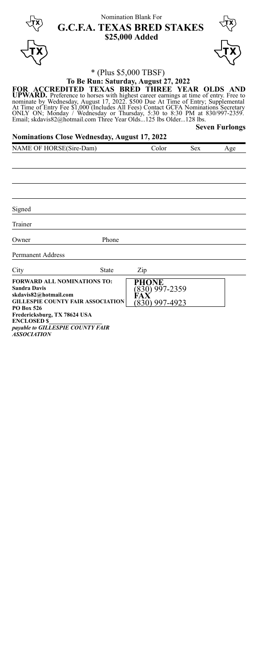र्पूरे  $\overline{\mathbf{r}}$ Nomination Blank For **G.C.F.A. TEXAS BRED STAKES \$25,000 Added** ²



# \* (Plus \$5,000 TBSF)

# **To Be Run: Saturday, August 27, 2022** FOR ACCREDITED TEXAS BRED THREE YEAR OLDS AND<br>UPWARD. Preference to horses with highest career earnings at time of entry. Free to<br>nominate by Wednesday, August 17, 2022. \$500 Due At Time of Entry; Supplemental<br>At Time of E

**Nominations Close Wednesday, August 17, 2022**

**Seven Furlongs**

| NAME OF HORSE(Sire-Dam)                                                                                                                      |              | Color                                       | Sex | Age |
|----------------------------------------------------------------------------------------------------------------------------------------------|--------------|---------------------------------------------|-----|-----|
|                                                                                                                                              |              |                                             |     |     |
|                                                                                                                                              |              |                                             |     |     |
|                                                                                                                                              |              |                                             |     |     |
|                                                                                                                                              |              |                                             |     |     |
|                                                                                                                                              |              |                                             |     |     |
| Signed                                                                                                                                       |              |                                             |     |     |
| Trainer                                                                                                                                      |              |                                             |     |     |
| Owner                                                                                                                                        | Phone        |                                             |     |     |
| <b>Permanent Address</b>                                                                                                                     |              |                                             |     |     |
| City                                                                                                                                         | <b>State</b> | Zip                                         |     |     |
| <b>FORWARD ALL NOMINATIONS TO:</b><br><b>Sandra Davis</b><br>skdavis82@hotmail.com<br><b>GILLESPIE COUNTY FAIR ASSOCIATION</b><br>PO Box 526 |              | PHONE<br>$(830)$ 997-2359<br>(830) 997-4923 |     |     |
| Fredericksburg, TX 78624 USA<br><b>ENCLOSED &amp;</b>                                                                                        |              |                                             |     |     |

**ENCLOSED \$\_\_\_\_\_\_\_\_\_\_\_\_\_\_\_\_\_\_** *payable to GILLESPIE COUNTY FAIR*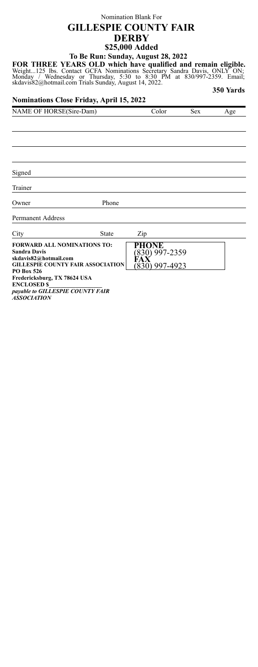# Nomination Blank For **GILLESPIE COUNTY FAIR DERBY \$25,000 Added To Be Run: Sunday, August 28, 2022**

FOR THREE YEARS OLD which have qualified and remain eligible.<br>Weight...125 lbs. Contact GCFA Nominations Secretary Sandra Davis, ONLY ON;<br>Monday / Wednesday or Thursday, 5:30 to 8:30 PM at 830/997-2359. Email;<br>skdavis82@ho

**350 Yards**

#### **Nominations Close Friday, April 15, 2022**

| NAME OF HORSE(Sire-Dam) | 'olor | sex | Age |
|-------------------------|-------|-----|-----|
|                         |       |     |     |

Signed

Trainer

Owner Phone

Permanent Address

 $City$  State  $\frac{7}{10}$ 

| UILY<br>oiaic                                                                                                                  | ∠w                     |
|--------------------------------------------------------------------------------------------------------------------------------|------------------------|
| <b>FORWARD ALL NOMINATIONS TO:</b><br><b>Sandra Davis</b><br>skdavis82@hotmail.com<br><b>GILLESPIE COUNTY FAIR ASSOCIATION</b> | PHONE<br>830) 997-2359 |
| <b>PO Box 526</b><br>Fredericksburg, TX 78624 USA                                                                              | .1) 997-4923           |
| <b>ENCLOSED \$</b><br>payable to GILLESPIE COUNTY FAIR<br>10000117101                                                          |                        |